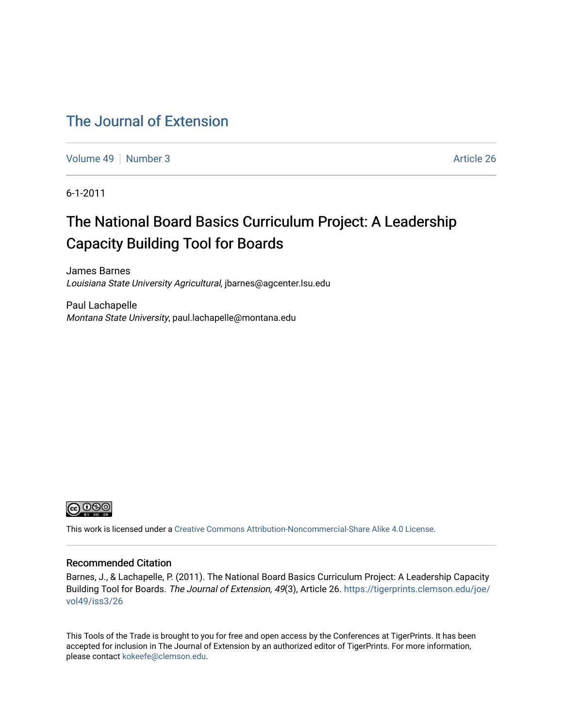#### [The Journal of Extension](https://tigerprints.clemson.edu/joe)

[Volume 49](https://tigerprints.clemson.edu/joe/vol49) [Number 3](https://tigerprints.clemson.edu/joe/vol49/iss3) Article 26

6-1-2011

## The National Board Basics Curriculum Project: A Leadership Capacity Building Tool for Boards

James Barnes Louisiana State University Agricultural, jbarnes@agcenter.lsu.edu

Paul Lachapelle Montana State University, paul.lachapelle@montana.edu



This work is licensed under a [Creative Commons Attribution-Noncommercial-Share Alike 4.0 License.](https://creativecommons.org/licenses/by-nc-sa/4.0/)

#### Recommended Citation

Barnes, J., & Lachapelle, P. (2011). The National Board Basics Curriculum Project: A Leadership Capacity Building Tool for Boards. The Journal of Extension, 49(3), Article 26. [https://tigerprints.clemson.edu/joe/](https://tigerprints.clemson.edu/joe/vol49/iss3/26) [vol49/iss3/26](https://tigerprints.clemson.edu/joe/vol49/iss3/26) 

This Tools of the Trade is brought to you for free and open access by the Conferences at TigerPrints. It has been accepted for inclusion in The Journal of Extension by an authorized editor of TigerPrints. For more information, please contact [kokeefe@clemson.edu](mailto:kokeefe@clemson.edu).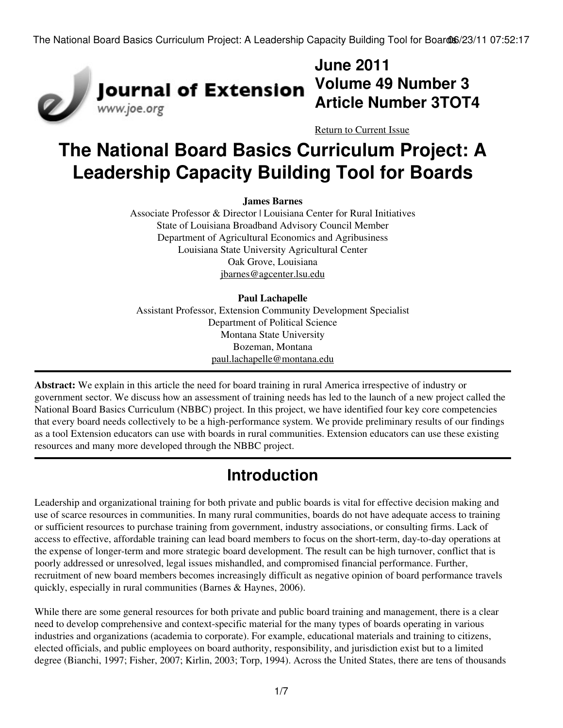

### **June 2011 Volume 49 Number 3 Article Number 3TOT4**

[Return to Current Issue](http://www.joe.org:80/joe/2011june/)

# **The National Board Basics Curriculum Project: A Leadership Capacity Building Tool for Boards**

#### **James Barnes**

Associate Professor & Director | Louisiana Center for Rural Initiatives State of Louisiana Broadband Advisory Council Member Department of Agricultural Economics and Agribusiness Louisiana State University Agricultural Center Oak Grove, Louisiana [jbarnes@agcenter.lsu.edu](mailto:jbarnes@agcenter.lsu.edu)

#### **Paul Lachapelle**

Assistant Professor, Extension Community Development Specialist Department of Political Science Montana State University Bozeman, Montana [paul.lachapelle@montana.edu](mailto:paul.lachapelle@montana.edu)

**Abstract:** We explain in this article the need for board training in rural America irrespective of industry or government sector. We discuss how an assessment of training needs has led to the launch of a new project called the National Board Basics Curriculum (NBBC) project. In this project, we have identified four key core competencies that every board needs collectively to be a high-performance system. We provide preliminary results of our findings as a tool Extension educators can use with boards in rural communities. Extension educators can use these existing resources and many more developed through the NBBC project.

### **Introduction**

Leadership and organizational training for both private and public boards is vital for effective decision making and use of scarce resources in communities. In many rural communities, boards do not have adequate access to training or sufficient resources to purchase training from government, industry associations, or consulting firms. Lack of access to effective, affordable training can lead board members to focus on the short-term, day-to-day operations at the expense of longer-term and more strategic board development. The result can be high turnover, conflict that is poorly addressed or unresolved, legal issues mishandled, and compromised financial performance. Further, recruitment of new board members becomes increasingly difficult as negative opinion of board performance travels quickly, especially in rural communities (Barnes & Haynes, 2006).

While there are some general resources for both private and public board training and management, there is a clear need to develop comprehensive and context-specific material for the many types of boards operating in various industries and organizations (academia to corporate). For example, educational materials and training to citizens, elected officials, and public employees on board authority, responsibility, and jurisdiction exist but to a limited degree (Bianchi, 1997; Fisher, 2007; Kirlin, 2003; Torp, 1994). Across the United States, there are tens of thousands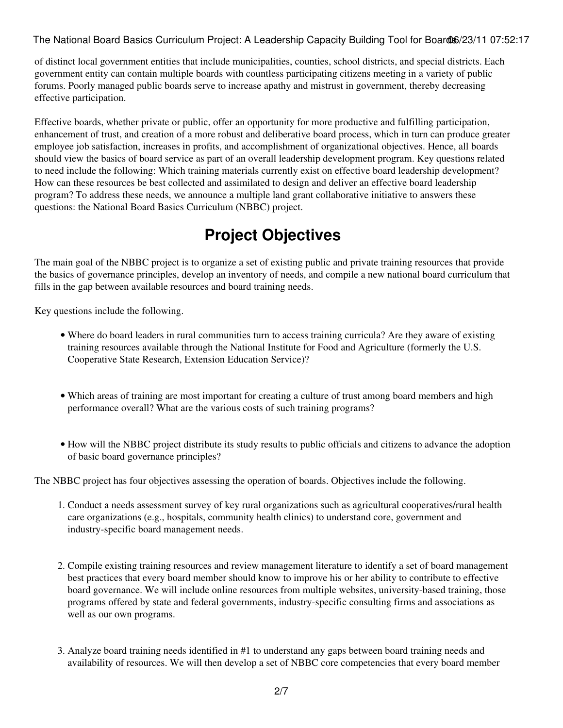of distinct local government entities that include municipalities, counties, school districts, and special districts. Each government entity can contain multiple boards with countless participating citizens meeting in a variety of public forums. Poorly managed public boards serve to increase apathy and mistrust in government, thereby decreasing effective participation.

Effective boards, whether private or public, offer an opportunity for more productive and fulfilling participation, enhancement of trust, and creation of a more robust and deliberative board process, which in turn can produce greater employee job satisfaction, increases in profits, and accomplishment of organizational objectives. Hence, all boards should view the basics of board service as part of an overall leadership development program. Key questions related to need include the following: Which training materials currently exist on effective board leadership development? How can these resources be best collected and assimilated to design and deliver an effective board leadership program? To address these needs, we announce a multiple land grant collaborative initiative to answers these questions: the National Board Basics Curriculum (NBBC) project.

## **Project Objectives**

The main goal of the NBBC project is to organize a set of existing public and private training resources that provide the basics of governance principles, develop an inventory of needs, and compile a new national board curriculum that fills in the gap between available resources and board training needs.

Key questions include the following.

- Where do board leaders in rural communities turn to access training curricula? Are they aware of existing training resources available through the National Institute for Food and Agriculture (formerly the U.S. Cooperative State Research, Extension Education Service)?
- Which areas of training are most important for creating a culture of trust among board members and high performance overall? What are the various costs of such training programs?
- How will the NBBC project distribute its study results to public officials and citizens to advance the adoption of basic board governance principles?

The NBBC project has four objectives assessing the operation of boards. Objectives include the following.

- 1. Conduct a needs assessment survey of key rural organizations such as agricultural cooperatives/rural health care organizations (e.g., hospitals, community health clinics) to understand core, government and industry-specific board management needs.
- 2. Compile existing training resources and review management literature to identify a set of board management best practices that every board member should know to improve his or her ability to contribute to effective board governance. We will include online resources from multiple websites, university-based training, those programs offered by state and federal governments, industry-specific consulting firms and associations as well as our own programs.
- Analyze board training needs identified in #1 to understand any gaps between board training needs and 3. availability of resources. We will then develop a set of NBBC core competencies that every board member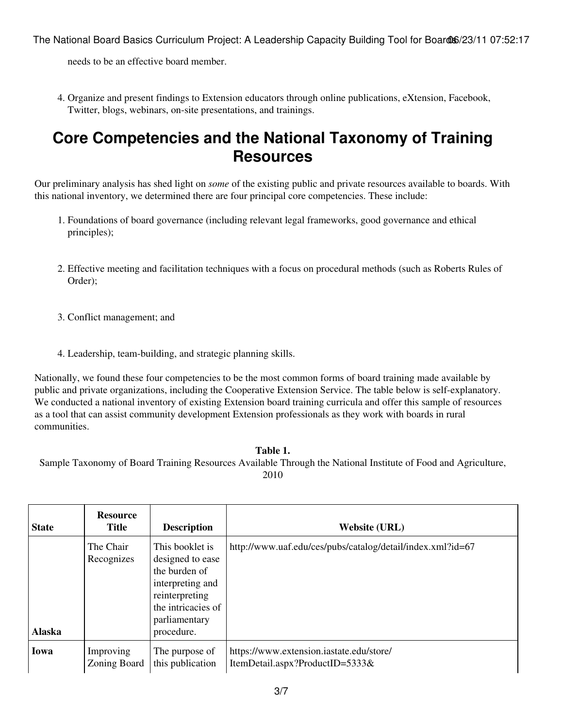needs to be an effective board member.

4. Organize and present findings to Extension educators through online publications, eXtension, Facebook, Twitter, blogs, webinars, on-site presentations, and trainings.

#### **Core Competencies and the National Taxonomy of Training Resources**

Our preliminary analysis has shed light on *some* of the existing public and private resources available to boards. With this national inventory, we determined there are four principal core competencies. These include:

- 1. Foundations of board governance (including relevant legal frameworks, good governance and ethical principles);
- Effective meeting and facilitation techniques with a focus on procedural methods (such as Roberts Rules of 2. Order);
- 3. Conflict management; and
- 4. Leadership, team-building, and strategic planning skills.

Nationally, we found these four competencies to be the most common forms of board training made available by public and private organizations, including the Cooperative Extension Service. The table below is self-explanatory. We conducted a national inventory of existing Extension board training curricula and offer this sample of resources as a tool that can assist community development Extension professionals as they work with boards in rural communities.

#### **Table 1.**

Sample Taxonomy of Board Training Resources Available Through the National Institute of Food and Agriculture, 2010

| <b>State</b>  | <b>Resource</b><br><b>Title</b> | <b>Description</b>                                                                                                                              | <b>Website (URL)</b>                                                        |
|---------------|---------------------------------|-------------------------------------------------------------------------------------------------------------------------------------------------|-----------------------------------------------------------------------------|
| <b>Alaska</b> | The Chair<br>Recognizes         | This booklet is<br>designed to ease<br>the burden of<br>interpreting and<br>reinterpreting<br>the intricacies of<br>parliamentary<br>procedure. | http://www.uaf.edu/ces/pubs/catalog/detail/index.xml?id=67                  |
| Iowa          | Improving<br>Zoning Board       | The purpose of<br>this publication                                                                                                              | https://www.extension.iastate.edu/store/<br>ItemDetail.aspx?ProductID=5333& |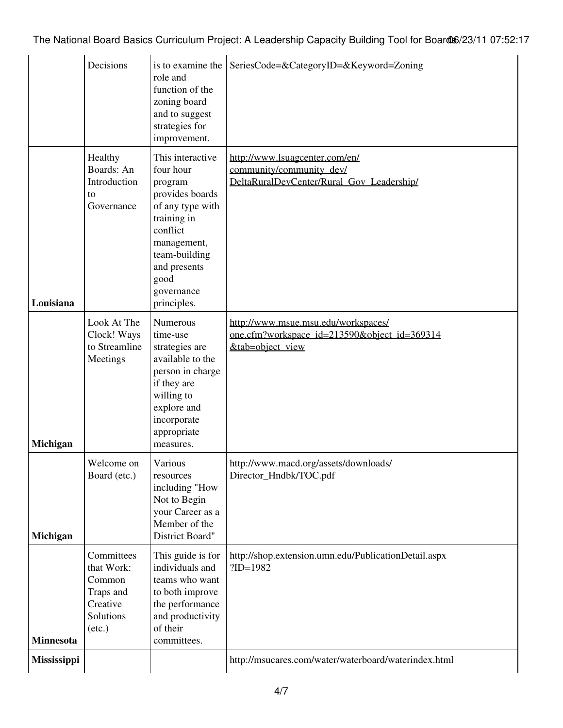|                  | Decisions                                                                                   | is to examine the<br>role and<br>function of the<br>zoning board<br>and to suggest<br>strategies for<br>improvement.                                                                            | SeriesCode=&CategoryID=&Keyword=Zoning                                                                  |
|------------------|---------------------------------------------------------------------------------------------|-------------------------------------------------------------------------------------------------------------------------------------------------------------------------------------------------|---------------------------------------------------------------------------------------------------------|
| Louisiana        | Healthy<br>Boards: An<br>Introduction<br>to<br>Governance                                   | This interactive<br>four hour<br>program<br>provides boards<br>of any type with<br>training in<br>conflict<br>management,<br>team-building<br>and presents<br>good<br>governance<br>principles. | http://www.lsuagcenter.com/en/<br>community/community_dev/<br>DeltaRuralDevCenter/Rural Gov Leadership/ |
| Michigan         | Look At The<br>Clock! Ways<br>to Streamline<br>Meetings                                     | <b>Numerous</b><br>time-use<br>strategies are<br>available to the<br>person in charge<br>if they are<br>willing to<br>explore and<br>incorporate<br>appropriate<br>measures.                    | http://www.msue.msu.edu/workspaces/<br>one.cfm?workspace_id=213590&object_id=369314<br>&tab=object_view |
| Michigan         | Welcome on<br>Board (etc.)                                                                  | Various<br>resources<br>including "How<br>Not to Begin<br>your Career as a<br>Member of the<br>District Board"                                                                                  | http://www.macd.org/assets/downloads/<br>Director_Hndbk/TOC.pdf                                         |
| <b>Minnesota</b> | Committees<br>that Work:<br>Common<br>Traps and<br>Creative<br>Solutions<br>$(\text{etc.})$ | This guide is for<br>individuals and<br>teams who want<br>to both improve<br>the performance<br>and productivity<br>of their<br>committees.                                                     | http://shop.extension.umn.edu/PublicationDetail.aspx<br>$?ID=1982$                                      |
| Mississippi      |                                                                                             |                                                                                                                                                                                                 | http://msucares.com/water/waterboard/waterindex.html                                                    |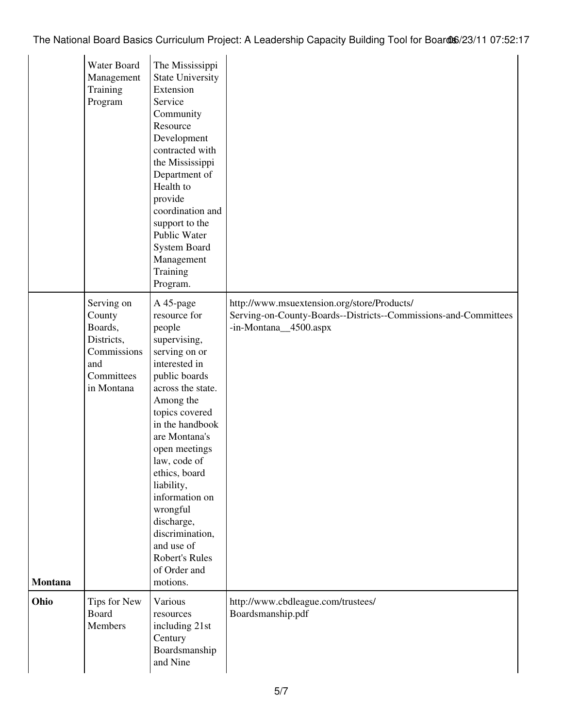|                | Water Board<br>Management<br>Training<br>Program                                                | The Mississippi<br><b>State University</b><br>Extension<br>Service<br>Community<br>Resource<br>Development<br>contracted with<br>the Mississippi<br>Department of<br>Health to<br>provide<br>coordination and<br>support to the<br>Public Water<br><b>System Board</b><br>Management<br>Training<br>Program.                                                                                     |                                                                                                                                         |
|----------------|-------------------------------------------------------------------------------------------------|--------------------------------------------------------------------------------------------------------------------------------------------------------------------------------------------------------------------------------------------------------------------------------------------------------------------------------------------------------------------------------------------------|-----------------------------------------------------------------------------------------------------------------------------------------|
| <b>Montana</b> | Serving on<br>County<br>Boards,<br>Districts,<br>Commissions<br>and<br>Committees<br>in Montana | A 45-page<br>resource for<br>people<br>supervising,<br>serving on or<br>interested in<br>public boards<br>across the state.<br>Among the<br>topics covered<br>in the handbook<br>are Montana's<br>open meetings<br>law, code of<br>ethics, board<br>liability,<br>information on<br>wrongful<br>discharge,<br>discrimination,<br>and use of<br><b>Robert's Rules</b><br>of Order and<br>motions. | http://www.msuextension.org/store/Products/<br>Serving-on-County-Boards--Districts--Commissions-and-Committees<br>-in-Montana_4500.aspx |
| Ohio           | Tips for New<br><b>Board</b><br>Members                                                         | Various<br>resources<br>including 21st<br>Century<br>Boardsmanship<br>and Nine                                                                                                                                                                                                                                                                                                                   | http://www.cbdleague.com/trustees/<br>Boardsmanship.pdf                                                                                 |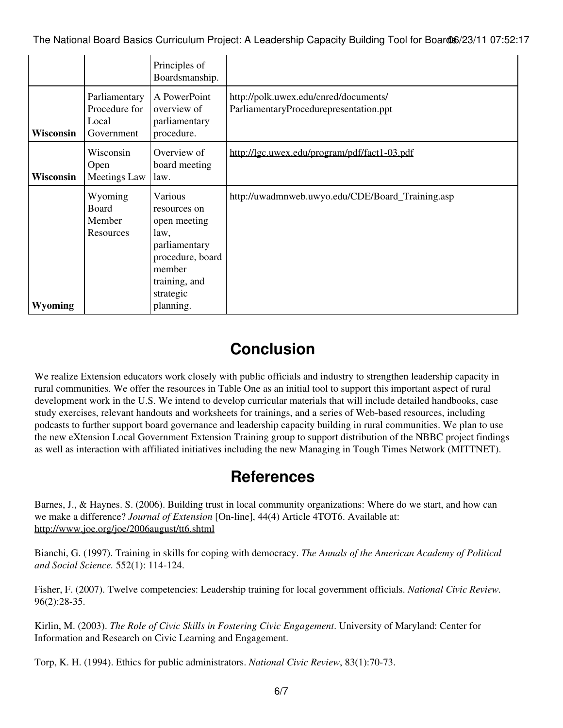|                  |                                                       | Principles of<br>Boardsmanship.                                                                                              |                                                                                 |
|------------------|-------------------------------------------------------|------------------------------------------------------------------------------------------------------------------------------|---------------------------------------------------------------------------------|
| <b>Wisconsin</b> | Parliamentary<br>Procedure for<br>Local<br>Government | A PowerPoint<br>overview of<br>parliamentary<br>procedure.                                                                   | http://polk.uwex.edu/cnred/documents/<br>ParliamentaryProcedurepresentation.ppt |
| <b>Wisconsin</b> | Wisconsin<br>Open<br><b>Meetings Law</b>              | Overview of<br>board meeting<br>law.                                                                                         | http://lgc.uwex.edu/program/pdf/fact1-03.pdf                                    |
|                  | Wyoming<br><b>Board</b><br>Member<br>Resources        | Various<br>resources on<br>open meeting<br>law,<br>parliamentary<br>procedure, board<br>member<br>training, and<br>strategic | http://uwadmnweb.uwyo.edu/CDE/Board_Training.asp                                |
| Wyoming          |                                                       | planning.                                                                                                                    |                                                                                 |

### **Conclusion**

We realize Extension educators work closely with public officials and industry to strengthen leadership capacity in rural communities. We offer the resources in Table One as an initial tool to support this important aspect of rural development work in the U.S. We intend to develop curricular materials that will include detailed handbooks, case study exercises, relevant handouts and worksheets for trainings, and a series of Web-based resources, including podcasts to further support board governance and leadership capacity building in rural communities. We plan to use the new eXtension Local Government Extension Training group to support distribution of the NBBC project findings as well as interaction with affiliated initiatives including the new Managing in Tough Times Network (MITTNET).

#### **References**

Barnes, J., & Haynes. S. (2006). Building trust in local community organizations: Where do we start, and how can we make a difference? *Journal of Extension* [On-line], 44(4) Article 4TOT6. Available at: <http://www.joe.org/joe/2006august/tt6.shtml>

Bianchi, G. (1997). Training in skills for coping with democracy. *The Annals of the American Academy of Political and Social Science.* 552(1): 114-124.

Fisher, F. (2007). Twelve competencies: Leadership training for local government officials. *National Civic Review.* 96(2):28-35.

Kirlin, M. (2003). *The Role of Civic Skills in Fostering Civic Engagement*. University of Maryland: Center for Information and Research on Civic Learning and Engagement.

Torp, K. H. (1994). Ethics for public administrators. *National Civic Review*, 83(1):70-73.